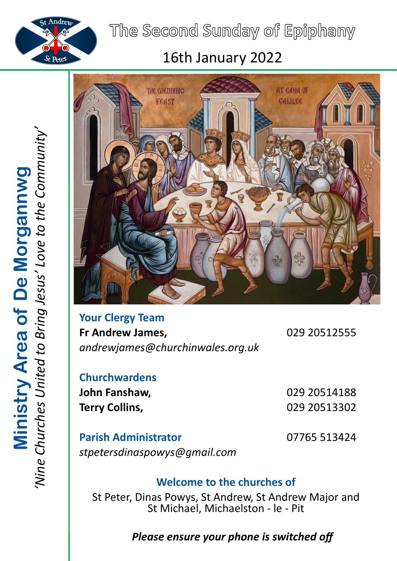

The Second Sunday of Epiphany

# 16th January 2022



**Your Clergy Team Fr Andrew James,** 029 20512555 *andrewjames@churchinwales.org.uk*

**Churchwardens John Fanshaw,** 029 20514188 **Terry Collins,** 029 20513302

**Parish Administrator** 07765 513424 *stpetersdinaspowys@gmail.com*

**Welcome to the churches of** 

St Peter, Dinas Powys, St Andrew, St Andrew Major and St Michael, Michaelston - le - Pit

# *Please ensure your phone is switched off*

*'Nine Churches United to Bring Jesus' Love to the Community'* Ministry Area of De Morgannwg<br>"Nine Churches United to Bring Jesus' Love to the Communit **Ministry Area of De Morgannwg**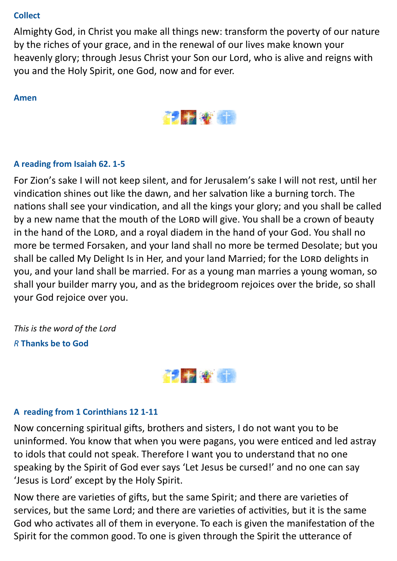#### **Collect**

Almighty God, in Christ you make all things new: transform the poverty of our nature by the riches of your grace, and in the renewal of our lives make known your heavenly glory; through Jesus Christ your Son our Lord, who is alive and reigns with you and the Holy Spirit, one God, now and for ever.

#### **Amen**



### **A reading from Isaiah 62. 1-5**

For Zion's sake I will not keep silent, and for Jerusalem's sake I will not rest, until her vindication shines out like the dawn, and her salvation like a burning torch. The nations shall see your vindication, and all the kings your glory; and you shall be called by a new name that the mouth of the LORD will give. You shall be a crown of beauty in the hand of the LORD, and a royal diadem in the hand of your God. You shall no more be termed Forsaken, and your land shall no more be termed Desolate; but you shall be called My Delight Is in Her, and your land Married; for the LORD delights in you, and your land shall be married. For as a young man marries a young woman, so shall your builder marry you, and as the bridegroom rejoices over the bride, so shall your God rejoice over you.

*This is the word of the Lord R* **Thanks be to God**



### **A reading from 1 Corinthians 12 1-11**

Now concerning spiritual gifts, brothers and sisters, I do not want you to be uninformed. You know that when you were pagans, you were enticed and led astray to idols that could not speak. Therefore I want you to understand that no one speaking by the Spirit of God ever says 'Let Jesus be cursed!' and no one can say 'Jesus is Lord' except by the Holy Spirit.

Now there are varieties of gifts, but the same Spirit; and there are varieties of services, but the same Lord; and there are varieties of activities, but it is the same God who activates all of them in everyone. To each is given the manifestation of the Spirit for the common good. To one is given through the Spirit the utterance of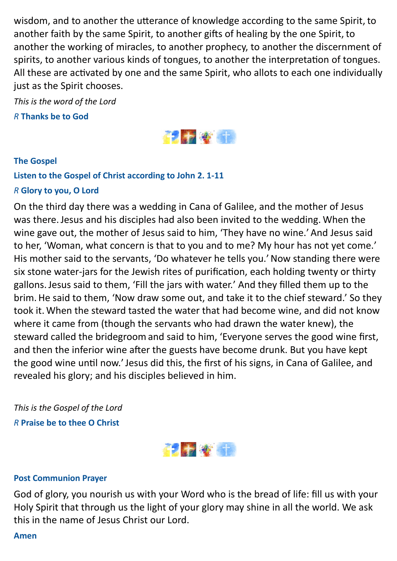wisdom, and to another the utterance of knowledge according to the same Spirit, to another faith by the same Spirit, to another gifts of healing by the one Spirit, to another the working of miracles, to another prophecy, to another the discernment of spirits, to another various kinds of tongues, to another the interpretation of tongues. All these are activated by one and the same Spirit, who allots to each one individually just as the Spirit chooses.

*This is the word of the Lord*

*R* **Thanks be to God**



### **The Gospel**

### **Listen to the Gospel of Christ according to John 2. 1-11** *R* **Glory to you, O Lord**

On the third day there was a wedding in Cana of Galilee, and the mother of Jesus was there.Jesus and his disciples had also been invited to the wedding. When the wine gave out, the mother of Jesus said to him, 'They have no wine.' And Jesus said to her, 'Woman, what concern is that to you and to me? My hour has not yet come.' His mother said to the servants, 'Do whatever he tells you.' Now standing there were six stone water-jars for the Jewish rites of purification, each holding twenty or thirty gallons.Jesus said to them, 'Fill the jars with water.' And they filled them up to the brim.He said to them, 'Now draw some out, and take it to the chief steward.' So they took it. When the steward tasted the water that had become wine, and did not know where it came from (though the servants who had drawn the water knew), the steward called the bridegroomand said to him, 'Everyone serves the good wine first, and then the inferior wine after the guests have become drunk. But you have kept the good wine until now.'Jesus did this, the first of his signs, in Cana of Galilee, and revealed his glory; and his disciples believed in him.

*This is the Gospel of the Lord R* **Praise be to thee O Christ**



#### **Post Communion Prayer**

God of glory, you nourish us with your Word who is the bread of life: fill us with your Holy Spirit that through us the light of your glory may shine in all the world. We ask this in the name of Jesus Christ our Lord.

**Amen**